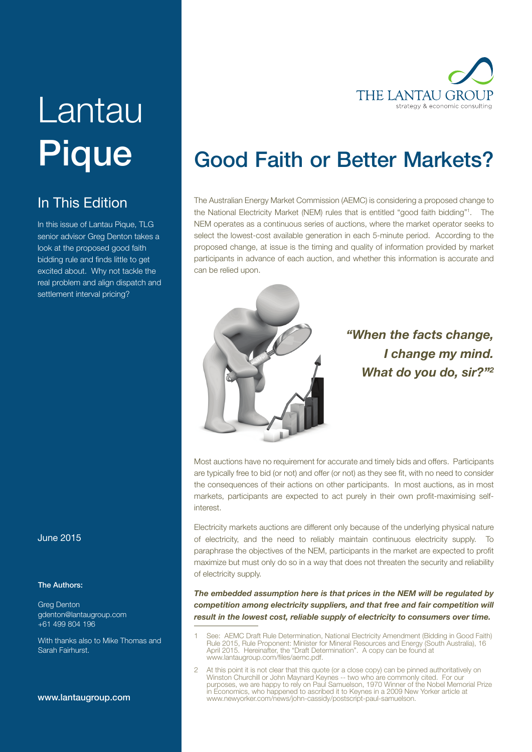

# Lantau **Pique**

### In This Edition

In this issue of Lantau Pique, TLG senior advisor Greg Denton takes a bidding rule and finds little to get excited about. Why not tackle the real problem and align dispatch and settlement interval pricing?

# look at the proposed good faith

#### June 2015

#### The Authors:

Greg Denton gdenton@lantaugroup.com +61 499 804 196

With thanks also to Mike Thomas and Sarah Fairhurst.

#### www.lantaugroup.com

## Good Faith or Better Markets?

The Australian Energy Market Commission (AEMC) is considering a proposed change to the National Electricity Market (NEM) rules that is entitled "good faith bidding"1 . The NEM operates as a continuous series of auctions, where the market operator seeks to select the lowest-cost available generation in each 5-minute period. According to the proposed change, at issue is the timing and quality of information provided by market participants in advance of each auction, and whether this information is accurate and can be relied upon.



### "When the facts change, I change my mind. What do you do, sir?"<sup>2</sup>

Most auctions have no requirement for accurate and timely bids and offers. Participants are typically free to bid (or not) and offer (or not) as they see fit, with no need to consider the consequences of their actions on other participants. In most auctions, as in most markets, participants are expected to act purely in their own profit-maximising selfinterest.

Electricity markets auctions are different only because of the underlying physical nature of electricity, and the need to reliably maintain continuous electricity supply. To paraphrase the objectives of the NEM, participants in the market are expected to profit maximize but must only do so in a way that does not threaten the security and reliability of electricity supply.

The embedded assumption here is that prices in the NEM will be regulated by competition among electricity suppliers, and that free and fair competition will result in the lowest cost, reliable supply of electricity to consumers over time.

- See: AEMC Draft Rule Determination, National Electricity Amendment (Bidding in Good Faith) Rule 2015, Rule Proponent: Minister for Mineral Resources and Energy (South Australia), 16 April 2015. Hereinafter, the "Draft Determination". A copy can be found at www.lantaugroup.com/files/aemc.pdf.
- 2 At this point it is not clear that this quote (or a close copy) can be pinned authoritatively on Winston Churchill or John Maynard Keynes -- two who are commonly cited. For our purposes, we are happy to rely on Paul Samuelson, 1970 Winner of the Nobel Memorial Prize in Economics, who happened to ascribed it to Keynes in a 2009 New Yorker article at www.newyorker.com/news/john-cassidy/postscript-paul-samuelson.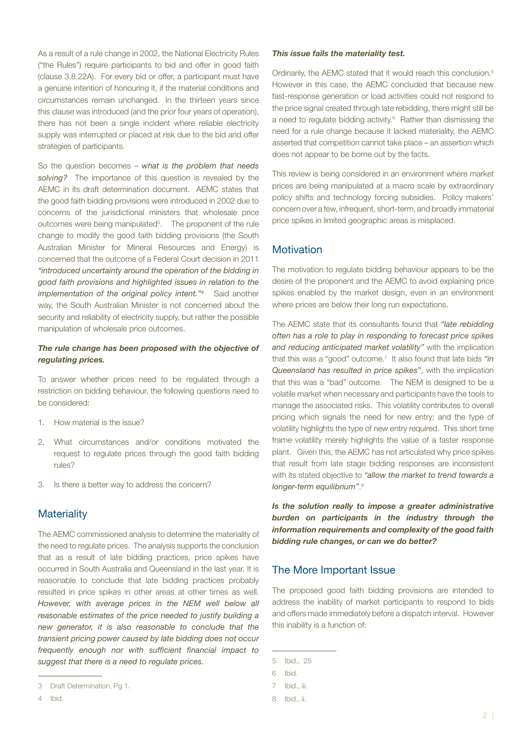As a result of a rule change in 2002, the National Electricity Rules ("the Rules") require participants to bid and offer in good faith (clause 3.8.22A). For every bid or offer, a participant must have a genuine intention of honouring it, if the material conditions and circumstances remain unchanged. In the thirteen years since this clause was introduced (and the prior four years of operation), there has not been a single incident where reliable electricity supply was interrupted or placed at risk due to the bid and offer strategies of participants.

So the question becomes – what is the problem that needs solving? The importance of this question is revealed by the AEMC in its draft determination document. AEMC states that the good faith bidding provisions were introduced in 2002 due to concerns of the jurisdictional ministers that wholesale price outcomes were being manipulated<sup>3</sup>. The proponent of the rule change to modify the good faith bidding provisions (the South Australian Minister for Mineral Resources and Energy) is concerned that the outcome of a Federal Court decision in 2011 "introduced uncertainty around the operation of the bidding in good faith provisions and highlighted issues in relation to the implementation of the original policy intent."<sup>4</sup> Said another way, the South Australian Minister is not concerned about the security and reliability of electricity supply, but rather the possible manipulation of wholesale price outcomes.

#### The rule change has been proposed with the objective of regulating prices.

To answer whether prices need to be regulated through a restriction on bidding behaviour, the following questions need to be considered:

- 1. How material is the issue?
- 2. What circumstances and/or conditions motivated the request to regulate prices through the good faith bidding rules?
- 3. Is there a better way to address the concern?

#### **Materiality**

The AEMC commissioned analysis to determine the materiality of the need to regulate prices. The analysis supports the conclusion that as a result of late bidding practices, price spikes have occurred in South Australia and Queensland in the last year. It is reasonable to conclude that late bidding practices probably resulted in price spikes in other areas at other times as well. However, with average prices in the NEM well below all reasonable estimates of the price needed to justify building a new generator, it is also reasonable to conclude that the transient pricing power caused by late bidding does not occur frequently enough nor with sufficient financial impact to suggest that there is a need to regulate prices.

#### This issue fails the materiality test.

Ordinarily, the AEMC stated that it would reach this conclusion.5 However in this case, the AEMC concluded that because new fast-response generation or load activities could not respond to the price signal created through late rebidding, there might still be a need to regulate bidding activity.<sup>6</sup> Rather than dismissing the need for a rule change because it lacked materiality, the AEMC asserted that competition cannot take place – an assertion which does not appear to be borne out by the facts.

This review is being considered in an environment where market prices are being manipulated at a macro scale by extraordinary policy shifts and technology forcing subsidies. Policy makers' concern over a few, infrequent, short-term, and broadly immaterial price spikes in limited geographic areas is misplaced.

#### **Motivation**

The motivation to regulate bidding behaviour appears to be the desire of the proponent and the AEMC to avoid explaining price spikes enabled by the market design, even in an environment where prices are below their long run expectations.

The AEMC state that its consultants found that "late rebidding" often has a role to play in responding to forecast price spikes and reducing anticipated market volatility" with the implication that this was a "good" outcome.<sup>7</sup> It also found that late bids "in Queensland has resulted in price spikes", with the implication that this was a "bad" outcome. The NEM is designed to be a volatile market when necessary and participants have the tools to manage the associated risks. This volatility contributes to overall pricing which signals the need for new entry; and the type of volatility highlights the type of new entry required. This short time frame volatility merely highlights the value of a faster response plant. Given this, the AEMC has not articulated why price spikes that result from late stage bidding responses are inconsistent with its stated objective to "allow the market to trend towards a longer-term equilibrium".<sup>8</sup>

Is the solution really to impose a greater administrative burden on participants in the industry through the information requirements and complexity of the good faith bidding rule changes, or can we do better?

#### The More Important Issue

The proposed good faith bidding provisions are intended to address the inability of market participants to respond to bids and offers made immediately before a dispatch interval. However this inability is a function of:

<sup>3</sup> Draft Determination, Pg 1.

<sup>4</sup> Ibid.

<sup>5</sup> Ibid., 25

<sup>6</sup> Ibid.

<sup>7</sup> Ibid., iii.

<sup>8</sup> Ibid., ii.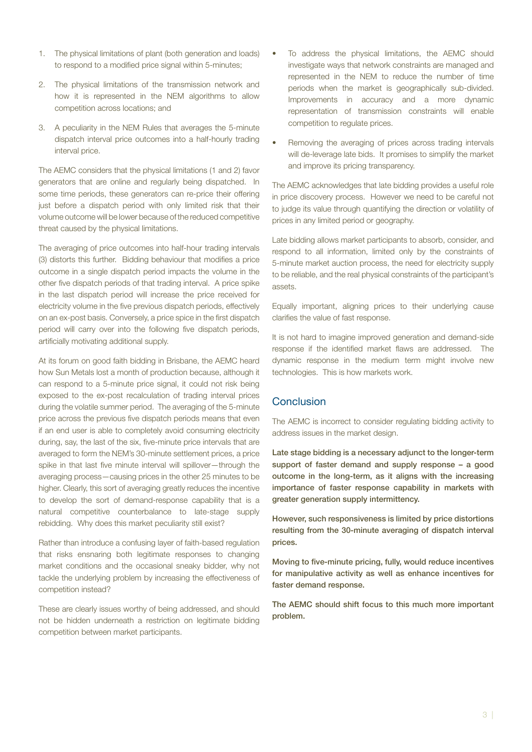- 1. The physical limitations of plant (both generation and loads) to respond to a modified price signal within 5-minutes;
- 2. The physical limitations of the transmission network and how it is represented in the NEM algorithms to allow competition across locations; and
- 3. A peculiarity in the NEM Rules that averages the 5-minute dispatch interval price outcomes into a half-hourly trading interval price.

The AEMC considers that the physical limitations (1 and 2) favor generators that are online and regularly being dispatched. In some time periods, these generators can re-price their offering just before a dispatch period with only limited risk that their volume outcome will be lower because of the reduced competitive threat caused by the physical limitations.

The averaging of price outcomes into half-hour trading intervals (3) distorts this further. Bidding behaviour that modifies a price outcome in a single dispatch period impacts the volume in the other five dispatch periods of that trading interval. A price spike in the last dispatch period will increase the price received for electricity volume in the five previous dispatch periods, effectively on an ex-post basis. Conversely, a price spice in the first dispatch period will carry over into the following five dispatch periods, artificially motivating additional supply.

At its forum on good faith bidding in Brisbane, the AEMC heard how Sun Metals lost a month of production because, although it can respond to a 5-minute price signal, it could not risk being exposed to the ex-post recalculation of trading interval prices during the volatile summer period. The averaging of the 5-minute price across the previous five dispatch periods means that even if an end user is able to completely avoid consuming electricity during, say, the last of the six, five-minute price intervals that are averaged to form the NEM's 30-minute settlement prices, a price spike in that last five minute interval will spillover—through the averaging process—causing prices in the other 25 minutes to be higher. Clearly, this sort of averaging greatly reduces the incentive to develop the sort of demand-response capability that is a natural competitive counterbalance to late-stage supply rebidding. Why does this market peculiarity still exist?

Rather than introduce a confusing layer of faith-based regulation that risks ensnaring both legitimate responses to changing market conditions and the occasional sneaky bidder, why not tackle the underlying problem by increasing the effectiveness of competition instead?

These are clearly issues worthy of being addressed, and should not be hidden underneath a restriction on legitimate bidding competition between market participants.

- To address the physical limitations, the AEMC should investigate ways that network constraints are managed and represented in the NEM to reduce the number of time periods when the market is geographically sub-divided. Improvements in accuracy and a more dynamic representation of transmission constraints will enable competition to regulate prices.
- Removing the averaging of prices across trading intervals will de-leverage late bids. It promises to simplify the market and improve its pricing transparency.

The AEMC acknowledges that late bidding provides a useful role in price discovery process. However we need to be careful not to judge its value through quantifying the direction or volatility of prices in any limited period or geography.

Late bidding allows market participants to absorb, consider, and respond to all information, limited only by the constraints of 5-minute market auction process, the need for electricity supply to be reliable, and the real physical constraints of the participant's assets.

Equally important, aligning prices to their underlying cause clarifies the value of fast response.

It is not hard to imagine improved generation and demand-side response if the identified market flaws are addressed. The dynamic response in the medium term might involve new technologies. This is how markets work.

#### Conclusion

The AEMC is incorrect to consider regulating bidding activity to address issues in the market design.

Late stage bidding is a necessary adjunct to the longer-term support of faster demand and supply response – a good outcome in the long-term, as it aligns with the increasing importance of faster response capability in markets with greater generation supply intermittency.

However, such responsiveness is limited by price distortions resulting from the 30-minute averaging of dispatch interval prices.

Moving to five-minute pricing, fully, would reduce incentives for manipulative activity as well as enhance incentives for faster demand response.

The AEMC should shift focus to this much more important problem.